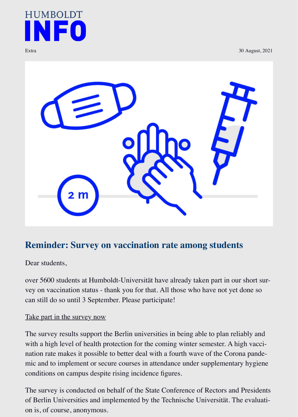

## **Reminder: Survey on vaccination rate among students**

Dear students,

over 5600 students at Humboldt-Universität have already taken part in our short s vey on vaccination status - thank you for that. All those who have not yet done so can still do so until 3 September. Please participate!

## Take part in the survey now

The survey results support the Berlin universities in being able to plan reliably an with a high level of health protection for the coming winter semester. A high vace nation rate makes it possible to better deal with a fourth wave of the Corona pand mic and to implement or secure courses in attendance under supplementary hygieners. conditions on campus despite rising incidence figures.

[The survey is conducted on](https://umfrage.congeno.de/p/IMPFSTATUS-HU) behalf of the State Conference of Rectors and Presidents of Berlin Universities and implemented by the Technische Universität. The evalue on is, of course, anonymous.